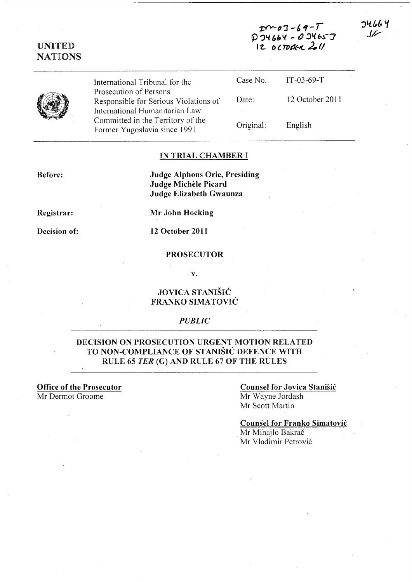$T - 03 - 69 - T$  $D$  JY66Y -  $D$  JY65J  $12$  october 2.11

**JU664** ىرل



UNITED NATIONS

> International Tribunal for the Prosecution of Persons Responsible for Serious Violations of International Humanitarian Law Committed in the Territory of the Former Yugoslavia since 1991

| Case No.  | $IT-03-69-T$    |
|-----------|-----------------|
| Date:     | 12 October 2011 |
| Original: | English         |

## IN TRIAL CHAMBER I

Before:

Judge Alphons Orie, Presiding Judge Michele Picard Judge Elizabeth Gwaunza

Registrar:

Decision of:

Mr John Hocking

12 October 2011

#### PROSECUTOR

. v.

## JOVICA STANISIC FRANKO SIMATOVIC

#### *PUBLIC*

## DECISION ON PROSECUTION URGENT MOTION RELATED TO NON-COMPLIANCE OF STANISIC DEFENCE WITH RULE 65 *TER* (G) AND RULE 67 OF THE RULES

**Office of the Prosecutor** Mr Dermot Groome

### Counsel for Jovica Stanisic Mr Wayne lordash Mr Scott Martin

Counsel for Franko Simatovic

Mr Mihajlo Bakrač Mr Vladimir Petrovi6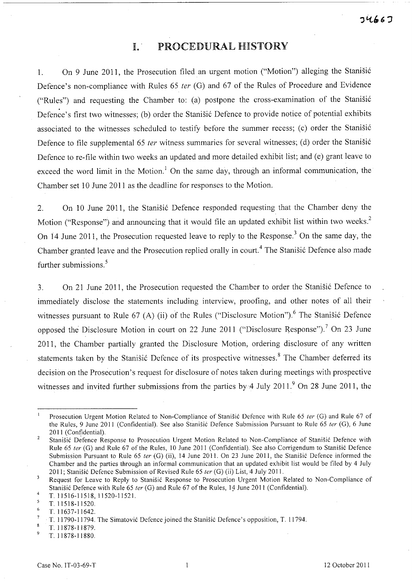# **I.·** PROCEDURAL HISTORY

1. On 9 June 2011, the Prosecution filed an urgent motion ("Motion") alleging the Stanisi6 Defence's non-compliance with Rules 65 fer (G) and 67 of the Rules of Procedure and Evidence ("Rules") and requesting the Chamber to: (a) postpone the cross-examination of the Stanisi6 Defence's first two witnesses; (b) order the Stanišić Defence to provide notice of potential exhibits associated to the witnesses scheduled to testify before the summer recess; (c) order the Stanišić Defence to file supplemental 65 ter witness summaries for several witnesses; (d) order the Stanisić Defence to re-file within two weeks an updated and more detailed exhibit list; and (e) grant leave to exceed the word limit in the Motion.<sup>1</sup> On the same day, through an informal communication, the Chamber set 10 June 2011 as the deadline for responses to the Motion.

2. On 10 June 2011, the Stanistic Defence responded requesting that the Chamber deny the Motion ("Response") and announcing that it would file an updated exhibit list within two weeks.<sup>2</sup> On 14 June 2011, the Prosecution requested leave to reply to the Response.<sup>3</sup> On the same day, the Chamber granted leave and the Prosecution replied orally in court.<sup>4</sup> The Stanišić Defence also made further submissions.<sup>5</sup>

3. On 21 June 2011, the Prosecution requested the Chamber to order the Stanisic Defence to immediately disclose the statements including interview, proofing, and other notes of all their witnesses pursuant to Rule 67 (A) (ii) of the Rules ("Disclosure Motion").<sup>6</sup> The Stanisic Defence opposed the Disclosure Motion in court on 22 June 2011 ("Disclosure Response").<sup>7</sup> On 23 June 2011, the Chamber partially granted the Disclosure Motion, ordering disclosure of any written statements taken by the Stanisić Defence of its prospective witnesses.<sup>8</sup> The Chamber deferred its decision on the Prosecution's request for disclosure of notes taken during meetings with prospective witnesses and invited further submissions from the parties by  $4 \text{ July } 2011$ .  $9 \text{ On } 28 \text{ June } 2011$ , the

T.11878-11880.

Prosecution Urgent Motion Related to Non-Compliance of Stanišić Defence with Rule 65 ter (G) and Rule 67 of the Rules, 9 June 2011 (Confidential). See also Stanišić Defence Submission Pursuant to Rule 65 ter (G), 6 June 2011 (Confidential).

 $\overline{2}$ Stanišić Defence Response to Prosecution Urgent Motion Related to Non-Compliance of Stanišić Defence with Rule 65 ter (G) and Rule 67 of the Rules, 10 June 2011 (Confidential). See also Corrigendum to Stanišić Defence Submission Pursuant to Rule 65 ter (G) (ii), 14 June 2011. On 23 June 2011, the Stanišić Defence informed the Chamber and the parties through an informal communication that an updated exhibit list would be filed by 4 July 2011; Stanišić Defence Submission of Revised Rule 65 ter (G) (ii) List, 4 July 2011.

 $\overline{\mathbf{3}}$ Request for Leave to Reply to Stanišić Response to Prosecution Urgent Motion Related to Non-Compliance of Stanišić Defence with Rule 65 ter (G) and Rule 67 of the Rules, 14 June 2011 (Confidential).

 $\overline{4}$ T. 11516-11518, 11520-11521.

<sup>-5</sup> T. 11518-11520.

<sup>-6</sup> T. 11637-11642.

 $\overline{7}$ T. 11790-11794. The Simatović Defence joined the Stanišić Defence's opposition, T. 11794.

 $\boldsymbol{8}$ T. 11878-11879. 9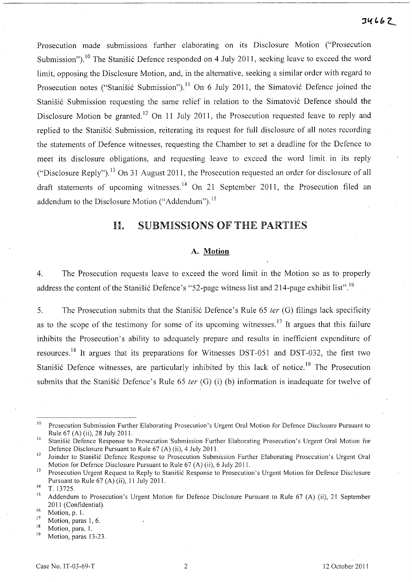Prosecution made submissions further elaborating on its Disclosure Motion ("Prosecution Submission").<sup>10</sup> The Stanišić Defence responded on 4 July 2011, seeking leave to exceed the word limit, opposing the Disclosure Motion, and, in the alternative, seeking a similar order with regard to Prosecution notes ("Stanišić Submission").<sup>11</sup> On 6 July 2011, the Simatović Defence joined the Stanišić Submission requesting the same relief in relation to the Simatović Defence should the Disclosure Motion be granted.<sup>12</sup> On 11 July 2011, the Prosecution requested leave to reply and replied to the Stanišić Submission, reiterating its request for full disclosure of all notes recording the statements of Defence witnesses, requesting the Chamber to set a deadline for the Defence to meet its disclosure obligations, and requesting leave to exceed the word limit in its reply ("Disclosure Reply"). 13 On 31 August **2011,** the Prosecution requested an order for disclosure of all draft statements of upcoming witnesses.<sup>14</sup> On 21 September 2011, the Prosecution filed an addendum to the Disclosure Motion ("Addendum").<sup>15</sup>

# **11.** SUBMISSIONS OF THE PARTIES

### **A. Motion**

4. The Prosecution requests leave to exceed the word limit in the Motion so as to properly address the content of the Stanisić Defence's "52-page witness list and 214-page exhibit list".<sup>16</sup>

5. The Prosecution submits that the Stanisic Defence's Rule 65 ter (G) filings lack specificity as to the scope of the testimony for some of its upcoming witnesses.<sup>17</sup> It argues that this failure inhibits the Prosecution's ability to adequately prepare and results in inefficient expenditure of resources.<sup>18</sup> It argues that its preparations for Witnesses DST-051 and DST-032, the first two Stanišić Defence witnesses, are particularly inhibited by this lack of notice.<sup>19</sup> The Prosecution submits that the Stanisić Defence's Rule 65 *ter* (G) (i) (b) information is inadequate for twelve of

<sup>&</sup>lt;sup>10</sup> Prosecution Submission Further Elaborating Prosecution's Urgent Oral Motion for Defence Disclosure Pursuant to Rule 67 (A) (ii), 28 July 2011. '

<sup>&</sup>lt;sup>11</sup> Stanišić Defence Response to Prosecution Submission Further Elaborating Prosecution's Urgent Oral Motion for Defence Disclosure Pursuant to Rule 67 (A) (ii), 4 July 2011.

<sup>&</sup>lt;sup>12</sup> Joinder to Stanišić Defence Response to Prosecution Submission Further Elaborating Prosecution's Urgent Oral Motion for Defence Disclosure Pursuant to Rule 67 (A) (ii), 6 July 2011.

<sup>&</sup>lt;sup>13</sup> Prosecution Urgent Request to Reply to Stanišić Response to Prosecution's Urgent Motion for Defence Disclosure Pursuant to Rule 67 (A) (ii), 11 July 2011.

<sup>&</sup>lt;sup>14</sup> T. 13725.

<sup>&</sup>lt;sup>15</sup> Addendum to Prosecution's Urgent Motion for Defence Disclosure Pursuant to Rule 67 (A) (ii), 21 September 2011 (Confidential).

 $\frac{16}{17}$  Motion, p. 1.

 $17$  Motion, paras 1, 6.

 $\frac{18}{19}$  Motion, para. 1.

Motion, paras 13-23.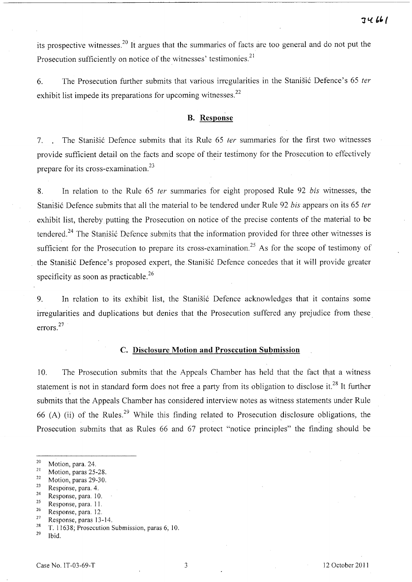its prospective witnesses.<sup>20</sup> It argues that the summaries of facts are too general and do not put the Prosecution sufficiently on notice of the witnesses' testimonies.<sup>21</sup>

6. The Prosecution further submits that various irregularities in the Stanisic Defence's 65 *ter*  exhibit list impede its preparations for upcoming witnesses.<sup>22</sup>

# B. Response

7. The Stanisic Defence submits that its Rule 65 *ter* summaries for the first two witnesses provide sufficient detail on the facts and scope of their testimony for the Prosecution to effectively prepare for its cross-examination.<sup>23</sup>

8. In relation to the Rule 65 *ter* summaries for eight proposed Rule 92 *bis* witnesses, the Stanisic Defence submits that all the material to be tendered under Rule 92 *bis* appears on its 65 *ter*  exhibit list, thereby putting the Prosecution on notice of the precise contents of the material to be tendered.<sup>24</sup> The Stanišić Defence submits that the information provided for three other witnesses is sufficient for the Prosecution to prepare its cross-examination.<sup>25</sup> As for the scope of testimony of the Stanisic Defence's proposed expert, the. Stanisic Defence concedes that it will provide greater specificity as soon as practicable. $^{26}$ 

9. In relation to its exhibit list, the Stanisic Defence acknowledges that it contains some irregularities and duplications but denies that the Prosecution suffered any prejudice from these. errors. 27

## c. Disclosure Motion and Prosecution Submission

10. The Prosecution submits that the Appeals Chamber has held that the fact that a witness statement is not in standard form does not free a party from its obligation to disclose it.<sup>28</sup> It further submits that the Appeals Chamber has considered interview notes as witness statements under Rule 66 (A) (ii) of the Rules.<sup>29</sup> While this finding related to Prosecution disclosure obligations, the Prosecution submits that as Rules 66 and 67 protect "notice principles" the finding should be

- Response, para. 4.
- 24 Response, para. 10.
- 25 Response, para. 11.
- $rac{26}{27}$  Response, para. 12.
- $\frac{27}{28}$  Response, paras 13-14.
- <sup>28</sup> T. 11638; Prosecution Submission, paras 6; 10.<br><sup>29</sup> Ibid
- Ibid.

 $\frac{20}{21}$  Motion, para. 24.

<sup>&</sup>lt;sup>21</sup> Motion, paras 25-28.

 $\frac{22}{23}$  Motion, paras 29-30.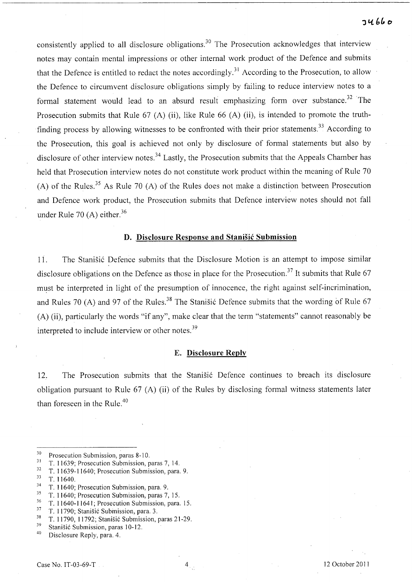# $74660$

consistently applied to all disclosure obligations.<sup>30</sup> The Prosecution acknowledges that interview notes may contain mental impressions or other internal work product of the Defence and submits that the Defence is entitled to redact the notes accordingly.<sup>31</sup> According to the Prosecution, to allow the Defence to circumvent disclosure obligations simply by failing to reduce interview notes to a formal statement would lead to an absurd result emphasizing form over substance.<sup>32</sup> The Prosecution submits that Rule 67 (A) (ii), like Rule 66 (A) (ii), is intended to promote the truthfinding process by allowing witnesses to be confronted with their prior statements.<sup>33</sup> According to the Prosecution, this goal is achieved not only by disclosure of formal statements but also by disclosure of other interview notes.<sup>34</sup> Lastly, the Prosecution submits that the Appeals Chamber has held that Prosecution interview notes do not constitute work product within the meaning of Rule 70 (A) of the Rules.<sup>35</sup> As Rule 70 (A) of the Rules does not make a distinction between Prosecution and Defence work product, the Prosecution submits that Defence interview notes should not fall under Rule 70 (A) either. $36$ 

### **D. Disclosure Response and Stanisic Submission**

11. The Stanisic Defence submits that the Disclosure Motion is an attempt to impose similar disclosure obligations on the Defence as those in place for the Prosecution.<sup>37</sup> It submits that Rule 67 must be interpreted in light of the presumption of innocence, the right against self-incrimination, and Rules 70 (A) and 97 of the Rules.<sup>38</sup> The Stanisic Defence submits that the wording of Rule 67 CA) (ii), particularly the words "if any", make clear that the term "statements" cannot reasonably be interpreted to include interview or other notes.<sup>39</sup>

#### E. **Disclosure Reply**

12. The Prosecution submits that the Stanisic Defence continues to breach its disclosure obligation pursuant to Rule  $67$  (A) (ii) of the Rules by disclosing formal witness statements later than foreseen in the Rule.<sup>40</sup>

 $30$  Prosecution Submission, paras 8-10.

<sup>&</sup>lt;sup>31</sup> T. 11639; Prosecution Submission, paras 7, 14.<br> $\frac{32}{\pi}$  T. 11620, 11640; Prosecution Submission, para

 $\frac{32}{33}$  T. 11639-11640; Prosecution Submission, para. 9.<br> $\frac{33}{3}$  T. 11640

<sup>33</sup> T. 11640.

 $34$  T. 11640; Prosecution Submission, para. 9.<br> $35$  T. 11640; Prosecution Submission, paras. 7.

 $\frac{35}{36}$  T. 11640; Prosecution Submission, paras 7, 15.

 $\frac{36}{37}$  T. 11640-11641; Prosecution Submission, para. 15.

 $3^7$  T. 11790; Stanišić Submission, para. 3.<br> $3^8$  T. 11700, 11700; Stanišić Submission

 $\frac{38}{3}$  T. 11790, 11792; Stanišić Submission, paras 21-29.

 $39$  Stanišić Submission, paras 10-12.

Disclosure Reply, para. 4.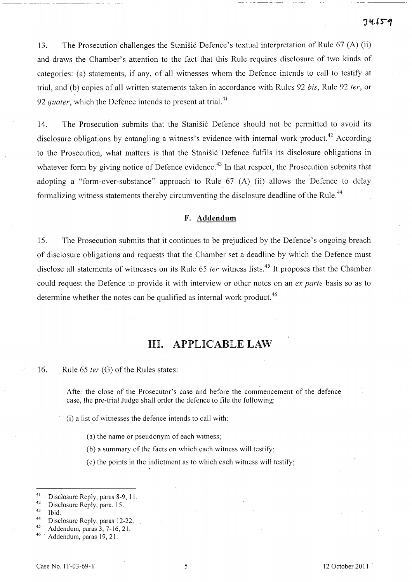74659

13. The Prosecution challenges the Stanisic Defence's textual interpretation of Rule 67 (A) (ii) and draws the Chamber's attention to the fact that this Rule requires disclosure of two kinds of categories: (a) statements, if any, of all witnesses whom the Defence intends to call to testify at trial, and (b) copies of all written statements taken in accordance with Rules 92 *his,* Rule 92 *ter,* or 92 *quater*, which the Defence intends to present at trial.<sup>41</sup>

14. The Prosecution submits that the Stanišić Defence should not be permitted to avoid its disclosure obligations by entangling a witness's evidence with internal work product.<sup>42</sup> According to the Prosecution, what matters is that the Stanišić Defence fulfils its disclosure obligations in whatever form by giving notice of Defence evidence.<sup>43</sup> In that respect, the Prosecution submits that adopting a "form-over-substance" approach to Rule 67 (A) (ii) allows the Defence to delay formalizing witness statements thereby circumventing the disclosure deadline of the Rule.<sup>44</sup>

## F. **Addendum**

15. The Prosecution submits that it continues to be prejudiced by the Defence's ongoing breach of disclosure obligations and requests that the Chamber set a deadline by which the Defence must disclose all statements of witnesses on its Rule 65 *ter* witness lists.<sup>45</sup> It proposes that the Chamber could request the Defence to provide it with interview or other notes on an *ex parte* basis so as to determine whether the notes can be qualified as internal work product.<sup>46</sup>

# III. APPLICABLE LAW

16. Rule 65 *ter* (G) of the Rules states:

After the close of the Prosecutor's case and before the commencement of the defence case, the pre-trial Judge shall order the defence to file the following:

(i) a list of witnesses the defence intends to call with:

(a) the name or pseudonym of each witness;

(b) a summary of the facts on which each witness will testifY;

(c) the points in the indictment as to which each witness will testifY;

- $^{44}$  Disclosure Reply, paras 12-22.
- 45 Addendum, paras  $3, 7-16, 21$ .

<sup>&</sup>lt;sup>41</sup> Disclosure Reply, paras 8-9, 11.<br> $\frac{42}{10}$  Disclosure Beply, para 15.

 $^{42}$  Disclosure Reply, para. 15.

 $\frac{43}{44}$  Ibid.

Addendum, paras 19, 21.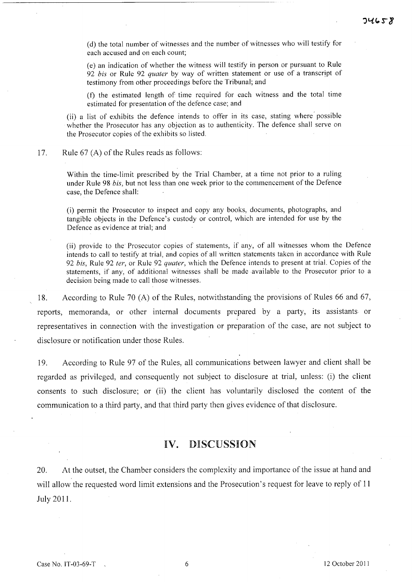(d) the total number of witnesses and the number of witnesses who will testify for each accused and on each count;

(e) an indication of whether the witness will testify in person or pursuant to Rule *92 bis* or Rule 92 *quater* by way of written statement or use of a transcript of testimony from other proceedings before the Tribunal; and

(t) the estimated length of time required for each witness and the total time estimated for presentation of the defence case; and

(ii) a list of exhibits the defence intends to offer in its case, stating where' possible whether the Prosecutor has any objection as to authenticity. The defence shall serve on the Prosecutor copies of the exhibits so listed,

17. Rule  $67$  (A) of the Rules reads as follows:

Within the time-limit prescribed by the Trial Chamber, at a time not prior to a ruling under Rule 98 *bis,* but not less than one week prior to the commencement of the Defence case, the Defence shall:

(i) permit the Prosecutor to inspect and copy any books, documents, photographs, and tangible objects in the Defence's custody or control, which are intended for use by the Defence as evidence at trial; and

(ii) provide to the Prosecutor copies of statements, if any, of all witnesses whom the Defence intends to call to testify at trial, and copies of all written statements taken in accordance with Rule *92 bis,* Rule 92 *fer,* or Rule 92 *quater,* which the Defence intends to present at trial. Copies of the statements, if any, of additional witnesses shall be made available to the Prosecutor prior to a decision being made to call those witnesses.

18. According to Rule 70 (A) of the Rules, notwithstanding the provisions of Rules 66 and 67, reports, memoranda, or other internal documents prepared by a party, its assistants or representatives in connection with the investigation or preparation of the case, are not subject to disclosure or notification under those Rules.

19. According to Rule 97 of the Rules, all communications between lawyer and client shall be regarded as privileged, and consequently not subject to disclosure at trial, unless: (i) the client consents to such disclosure; or Cii) the client has voluntarily disclosed the content of the communication to a third party, and that third party then gives evidence of that disclosure.

# IV. DISCUSSION

20. At the outset, the Chamber considers the complexity and importance of the issue at hand and will allow the requested word limit extensions and the Prosecution's request for leave to reply of 11 July 2011.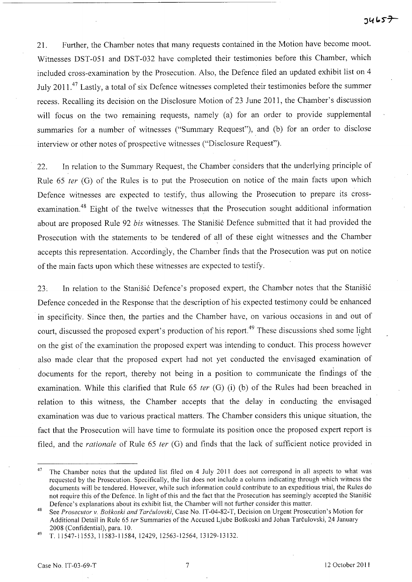21. Further, the Chamber notes that many requests contained in the Motion have become moot. Witnesses DST-051 and DST-032 have completed their testimonies before this Chamber, which included cross-examination by the Prosecution. Also, the Defence filed an updated exhibit list on 4 July 2011.<sup>47</sup> Lastly, a total of six Defence witnesses completed their testimonies before the summer recess. Recalling its decision on the Disclosure Motion of 23 June 2011, the Chamber's discussion will focus on the two remaining requests, namely (a) for an order to provide supplemental summaries for a number of witnesses ("Summary Request"), and (b) for an order to disclose interview or other notes of prospective witnesses ("Disclosure Request").

22. In relation to the Summary Request, the Chamber considers that the underlying principle of Rule 65 *ter* (G) of the Rules is to put the Prosecution on notice of the main facts upon which Defence witnesses are expected to testify, thus allowing the Prosecution to prepare its crossexamination.<sup>48</sup> Eight of the twelve witnesses that the Prosecution sought additional information about are proposed Rule 92 *bis* witnesses. The Stanistic Defence submitted that it had provided the Prosecution with the statements to be tendered of all of these eight witnesses and the Chamber accepts this representation. Accordingly, the Chamber finds that the Prosecution was put on notice of the main facts upon which these witnesses are expected to testify.

23. In relation to the Stanišić Defence's proposed expert, the Chamber notes that the Stanišić Defence conceded in the Response that the description of his expected testimony could be enhanced in specificity. Since then, the parties and the Chamber have, on various occasions in and out of court, discussed the proposed expert's production of his report.<sup>49</sup> These discussions shed some light on the gist of the examination the proposed expert was intending to conduct. This process however also made clear that the proposed expert had not yet conducted the envisaged examination of documents for the report, thereby not being in a position to communicate the findings of the examination. While this clarified that Rule 65 *ter* (G) (i) (b) of the Rules had been breached in relation to this witness, the Chamber accepts that the delay in conducting the envisaged examination was due to various practical matters. The Chamber considers this unique situation, the fact that the Prosecution will have time to formulate its position once the proposed expert report is filed, and the *rationale* of Rule 65 *ter* (G) and finds that the lack of sufficient notice provided in

 $47$  The Chamber notes that the updated list filed on 4 July 2011 does not correspond in all aspects to what was requested by the Prosecution. Specifically, the list does not include a column indicating through which witness the documents will be tendered. However, while such information could contribute to an expeditious trial, the Rules do not require this of the Defence. In light of this and the fact that the Prosecution has seemingly accepted the Stanisic Defence's explanations about its exhibit list, the Chamber will not further consider this matter.

<sup>48</sup> See *Prosecutor* v. *Boskoski and Tareulovski,* Case No. IT -04-82-T, Decision on Urgent Prosecution's Motion for Additional Detail in Rule 65 *ter* Summaries of the Accused Ljube Boskoski and Johan Tarculovski, 24 January 2008 (Confidential), para. 10.

<sup>49</sup> T. 11547-11553,11583-11584,12429, 12563-12564, 13129-13132.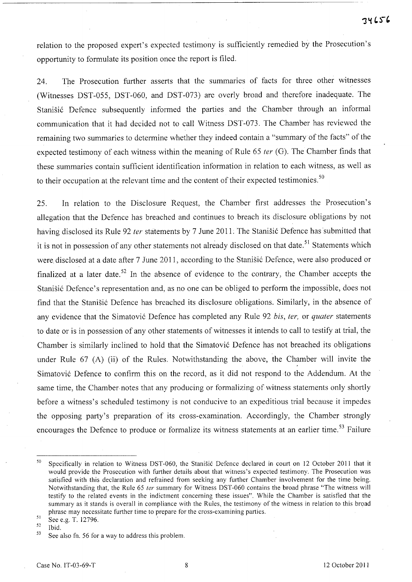relation to the proposed expert's expected testimony is sufficiently remedied by the Prosecution's opportunity to formulate its position once the report is filed.

24. The Prosecution further asserts that the summaries of facts for three other witnesses (Witnesses DST-055, DST-060, and DST-073) are overly broad and therefore inadequate. The Stanišić Defence subsequently informed the parties and the Chamber through an informal communication that it had decided not to call Witness DST-073. The Chamber has reviewed the remaining two summaries to determine whether they indeed contain a "summary of the facts" of the expected testimony of each witness within the meaning of Rule 65  $ter$  (G). The Chamber finds that these summaries contain sufficient identification information in relation to each witness, as well as to their occupation at the relevant time and the content of their expected testimonies.<sup>50</sup>

25. In relation to the Disclosure Request, the Chamber first addresses the Prosecution's allegation that the Defence has breached and continues to breach its disclosure obligations by not having disclosed its Rule 92 ter statements by 7 June 2011. The Stanisić Defence has submitted that it is not in possession of any other statements not already disclosed on that date.<sup>51</sup> Statements which were disclosed at a date after 7 June 2011, according to the Stanisić Defence, were also produced or finalized at a later date.<sup>52</sup> In the absence of evidence to the contrary, the Chamber accepts the Stanišić Defence's representation and, as no one can be obliged to perform the impossible, does not find that the Stanišić Defence has breached its disclosure obligations. Similarly, in the absence of any evidence that the Simatović Defence has completed any Rule 92 *bis, ter,* or *quater* statements to date or is in possession of any other statements of witnesses it intends to call to testify at trial, the Chamber is similarly inclined to hold that the Simatović Defence has not breached its obligations under Rule 67 (A) (ii) of the Rules. Notwithstanding the above, the Chamber will invite the Simatović Defence to confirm this on the record, as it did not respond to the Addendum. At the same time, the Chamber notes that any producing or formalizing of witness statements only shortly before a witness's scheduled testimony is not conducive to an expeditious trial because it impedes the opposing party's preparation of its cross-examination. Accordingly, the Chamber strongly encourages the Defence to produce or formalize its witness statements at an earlier time.<sup>53</sup> Failure

<sup>&</sup>lt;sup>50</sup> Specifically in relation to Witness DST-060, the Stanišić Defence declared in court on 12 October 2011 that it would provide the Prosecution with further details about that witness's expected testimony. The Prosecution was satisfied with this declaration and refrained from seeking any further Chamber involvement for the time being. Notwithstanding that, the Rule 65 *ter* summary for Witness DST-060 contains the broad phrase "The witness will testify to the related events in the indictment concerning these issues". While the Chamber is satisfied that the summary as it stands is overall in compliance with the Rules, the testimony of the witness in relation to this broad phrase may necessitate further time to prepare for the cross-examining parties.

 $51$  See e.g. T. 12796.

 $\frac{52}{53}$  Ibid.<br><sup>53</sup> See also fn. 56 for a way to address this problem.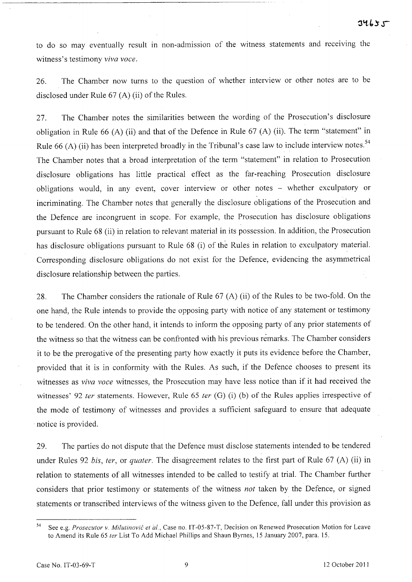to do so may eventually result in non-admission of the witness statements and receiving the witness's testimony *viva voce.* 

26. The Chamber now turns to the question of whether interview or other notes are to be disclosed under Rule  $67$  (A) (ii) of the Rules.

27. The Chamber notes the similarities between the wording of the Prosecution's disclosure obligation in Rule 66 (A) (ii) and that of the Defence in Rule 67 (A) (ii). The term "statement" in Rule 66 (A) (ii) has been interpreted broadly in the Tribunal's case law to include interview notes.<sup>54</sup> The Chamber notes that a broad interpretation of the term "statement" in relation to Prosecution disclosure obligations has little practical effect as the far-reaching Prosecution disclosure obligations would, in any event, cover interview or other notes – whether exculpatory or incriminating. The Chamber notes that generally the disclosure obligations of the Prosecution and the Defence are incongruent in scope. For example, the Prosecution has disclosure obligations pursuant to Rule 68 (ii) in relation to relevant material in its possession. In addition, the Prosecution has disclosure obligations pursuant to Rule 68 (i) of the Rules in relation to exculpatory material. Corresponding disclosure obligations do not exist for the Defence, evidencing the asymmetrical disclosure relationship between the parties.

28. The Chamber considers the rationale of Rule 67 (A) (ii) of the Rules to be two-fold. On the one hand, the Rule intends to provide the opposing party with notice of any statement or testimony to be tendered. On the other hand, it intends to inform the opposing party of any prior statements of the witness so that the witness can be confronted with his previous remarks. The Chamber considers it to be the prerogative of the presenting party how exactly it puts its evidence before the Chamber, provided that it is in conformity with the Rules. As such, if the Defence chooses to present its witnesses as *viva voce* witnesses, the Prosecution may have less notice than if it had received the witnesses' 92 ter statements. However, Rule 65 ter (G) (i) (b) of the Rules applies irrespective of the mode of testimony of witnesses and provides a sufficient safeguard to ensure that adequate notice is provided.

29. The parties do not dispute that the Defence must disclose statements intended to be tendered under Rules 92 *bis, ter, or quater.* The disagreement relates to the first part of Rule 67 (A) (ii) in relation to statements of all witnesses intended to be .called to testify at trial. The Chamber further considers that prior testimony or statements of the witness *not* taken by the Defence, or signed statements or transcribed interviews of the witness given to the Defence, fall under this provision as

<sup>54</sup> See e.g. *Prosecutor* v. *Milutinovic et* aI., Case no. IT-05-87-T, Decision on Renewed Prosecution Motion for Leave to Amend its Rule 65 *ter* List To Add Michael Phillips and Shaun Byrnes, 15 January 2007, para. 15.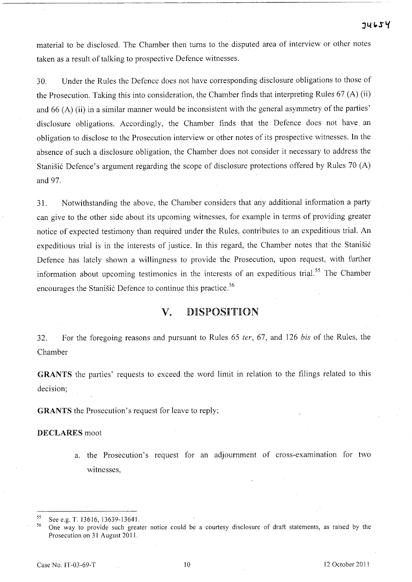material to be disclosed. The Chamber then turns to the disputed area of interview or other notes taken as a result of talking to prospective Defence witnesses.

30. Under the Rules the Defence does not have corresponding disclosure obligations to those of the Prosecution. Taking this into consideration, the Chamber finds that interpreting Rules 67 (A) (ii) and 66 (A) (ii) in a similar manner would be inconsistent with the general asymmetry of the parties' disclosure obligations. Accordingly, the Chamber finds that the Defence does not have. an obligation to disclose to the Prosecution interview or other notes of its prospective witnesses. In the absence of such a disclosure obligation, the Chamber does not consider it necessary to address the Stanisic Defence's argument regarding the scope of disclosure protections offered by Rules 70 (A) and 97.

31. Notwithstanding the above, the Chamber considers that any additional information a party can give to the other side about its upcoming witnesses, for example in terms of providing greater notice of expected testimony than required under the Rules, contributes to an expeditious trial. An expeditious trial is in the interests of justice. In this regard, the Champer notes that the Stanisic Defence has lately shown a willingness to provide the Prosecution, upon request, with further information about upcoming testimonies in the interests of an expeditious trial.<sup>55</sup> The Chamber encourages the Stanisic Defence to continue this practice.<sup>56</sup>

# v. DISPOSITION

32. For the foregoing reasons and pursuant to Rules 65 *ter,* 67, and 126 *his* of the Rules, the Chamber

GRANTS the parties' requests to exceed the word limit in relation to the filings related to this decision;

GRANTS the Prosecution's request for leave to reply;

### DECLARES moot

a. the Prosecution's request for an adjournment of cross-examination for two witnesses,

<sup>&</sup>lt;sup>55</sup> See e.g. T. 13616, 13639-13641.<br><sup>56</sup> One way to provide such greater notice could be a courtesy disclosure of draft statements, as raised by the Prosecution on 31 August 2011.